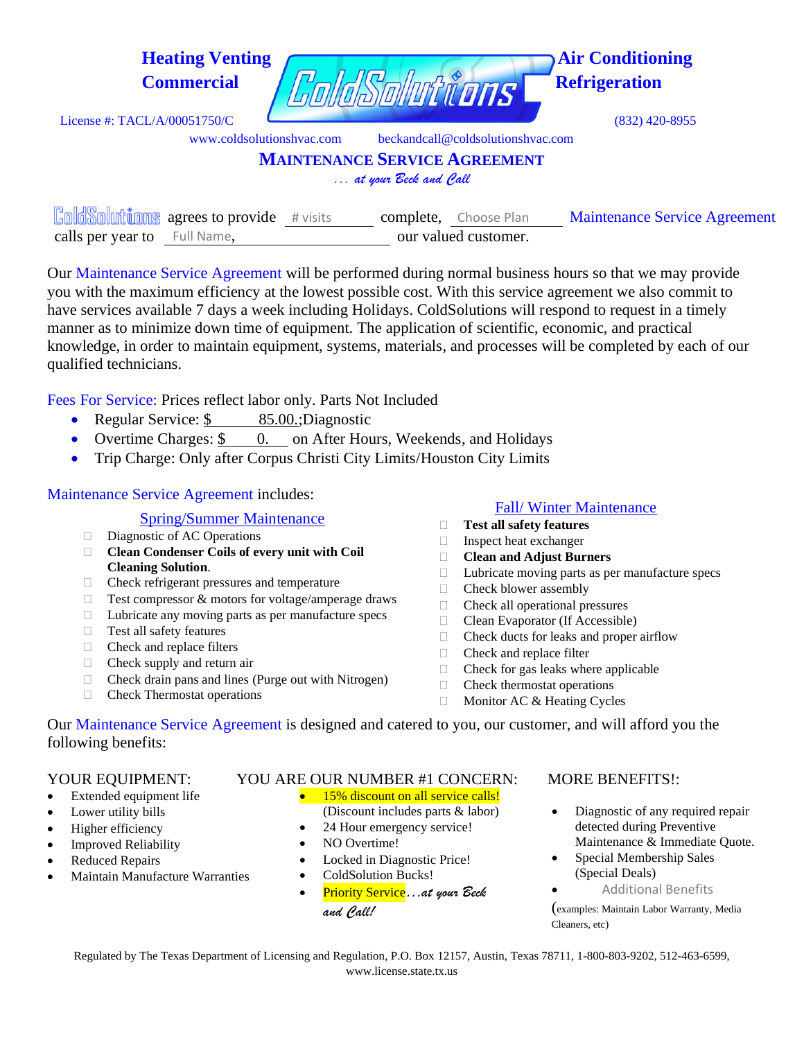| <b>Heating Venting</b><br><b>Commercial</b>    | dsolutions                           | <b>Air Conditioning</b><br><b>Refrigeration</b> |
|------------------------------------------------|--------------------------------------|-------------------------------------------------|
| License #: TACL/A/00051750/C                   |                                      | $(832)$ 420-8955                                |
| www.coldsolutionshyac.com                      | beckandcall@coldsolutionshyac.com    |                                                 |
|                                                | <b>MAINTENANCE SERVICE AGREEMENT</b> |                                                 |
|                                                | at your Beck and Call                |                                                 |
| <b>ColdSolutions</b> agrees to provide #visits | complete,<br>Choose Plan             | <b>Maintenance Service Agreement</b>            |
| Full Name,<br>calls per year to                | our valued customer.                 |                                                 |

Our Maintenance Service Agreement will be performed during normal business hours so that we may provide you with the maximum efficiency at the lowest possible cost. With this service agreement we also commit to have services available 7 days a week including Holidays. ColdSolutions will respond to request in a timely manner as to minimize down time of equipment. The application of scientific, economic, and practical knowledge, in order to maintain equipment, systems, materials, and processes will be completed by each of our qualified technicians.

Fees For Service: Prices reflect labor only. Parts Not Included

- Regular Service: \$ 85.00.;Diagnostic
- Overtime Charges: \$ 0. on After Hours, Weekends, and Holidays
- Trip Charge: Only after Corpus Christi City Limits/Houston City Limits

## Maintenance Service Agreement includes:

- Spring/Summer Maintenance
- Diagnostic of AC Operations
- **Clean Condenser Coils of every unit with Coil Cleaning Solution**.
- $\Box$  Check refrigerant pressures and temperature
- $\Box$  Test compressor & motors for voltage/amperage draws
- $\Box$  Lubricate any moving parts as per manufacture specs
- □ Test all safety features
- □ Check and replace filters
- $\Box$  Check supply and return air
- $\Box$  Check drain pans and lines (Purge out with Nitrogen)
- □ Check Thermostat operations

### Fall/ Winter Maintenance

- **Test all safety features**
- $\Box$  Inspect heat exchanger
- **Clean and Adjust Burners**
- $\Box$  Lubricate moving parts as per manufacture specs
- □ Check blower assembly
- $\Box$  Check all operational pressures
- □ Clean Evaporator (If Accessible)
- $\Box$  Check ducts for leaks and proper airflow
- □ Check and replace filter
- $\Box$  Check for gas leaks where applicable
- $\Box$  Check thermostat operations
- $\Box$  Monitor AC & Heating Cycles

Our Maintenance Service Agreement is designed and catered to you, our customer, and will afford you the following benefits:

- Extended equipment life
- Lower utility bills
- Higher efficiency
- **Improved Reliability**
- Reduced Repairs
- Maintain Manufacture Warranties

## YOUR EQUIPMENT: YOU ARE OUR NUMBER #1 CONCERN: MORE BENEFITS!:

- 15% discount on all service calls! (Discount includes parts & labor)
- 24 Hour emergency service!
- NO Overtime!
- Locked in Diagnostic Price!
- ColdSolution Bucks!
- Priority Service*…at your Beck and Call!*

- Diagnostic of any required repair detected during Preventive Maintenance & Immediate Quote.
- Special Membership Sales (Special Deals)
	- •Additional Benefits

(examples: Maintain Labor Warranty, Media Cleaners, etc)

Regulated by The Texas Department of Licensing and Regulation, P.O. Box 12157, Austin, Texas 78711, 1-800-803-9202, 512-463-6599, www.license.state.tx.us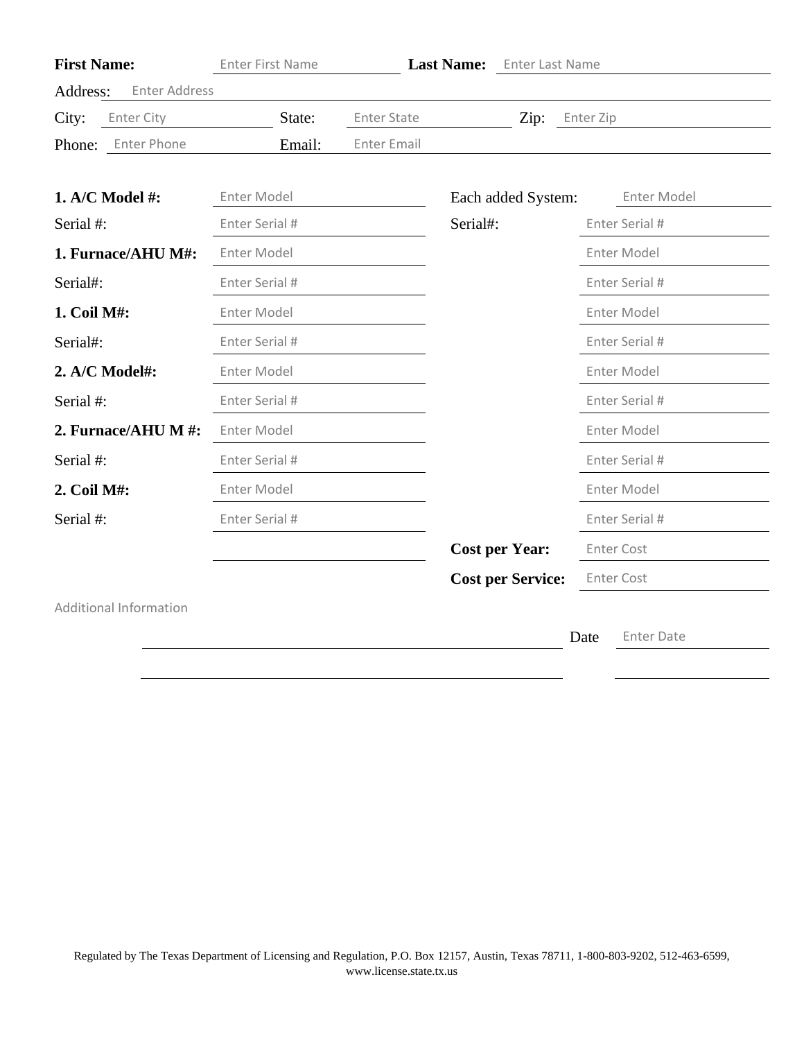| <b>First Name:</b>               | <b>Enter First Name</b> |                    | Last Name: Enter Last Name |                           |
|----------------------------------|-------------------------|--------------------|----------------------------|---------------------------|
| Address:<br><b>Enter Address</b> |                         |                    |                            |                           |
| City:<br>Enter City              | State:                  | <b>Enter State</b> | Zip:                       | Enter Zip                 |
| Phone: Enter Phone               | Email:                  | <b>Enter Email</b> |                            |                           |
| 1. A/C Model $#$ :               | Enter Model             |                    | Each added System:         | Enter Model               |
| Serial #:                        | Enter Serial #          |                    | Serial#:                   | Enter Serial #            |
| 1. Furnace/AHU M#:               | Enter Model             |                    |                            | Enter Model               |
| Serial#:                         | Enter Serial #          |                    |                            | Enter Serial #            |
| 1. Coil M#:                      | Enter Model             |                    |                            | Enter Model               |
| Serial#:                         | Enter Serial #          |                    |                            | Enter Serial #            |
| 2. A/C Model#:                   | Enter Model             |                    |                            | Enter Model               |
| Serial #:                        | Enter Serial #          |                    |                            | Enter Serial #            |
| 2. Furnace/AHU M #:              | Enter Model             |                    |                            | Enter Model               |
| Serial #:                        | Enter Serial #          |                    |                            | Enter Serial #            |
| 2. Coil M#:                      | Enter Model             |                    |                            | Enter Model               |
| Serial #:                        | Enter Serial #          |                    |                            | Enter Serial #            |
|                                  |                         |                    | <b>Cost per Year:</b>      | <b>Enter Cost</b>         |
|                                  |                         |                    | <b>Cost per Service:</b>   | <b>Enter Cost</b>         |
| <b>Additional Information</b>    |                         |                    |                            |                           |
|                                  |                         |                    |                            | <b>Enter Date</b><br>Date |
|                                  |                         |                    |                            |                           |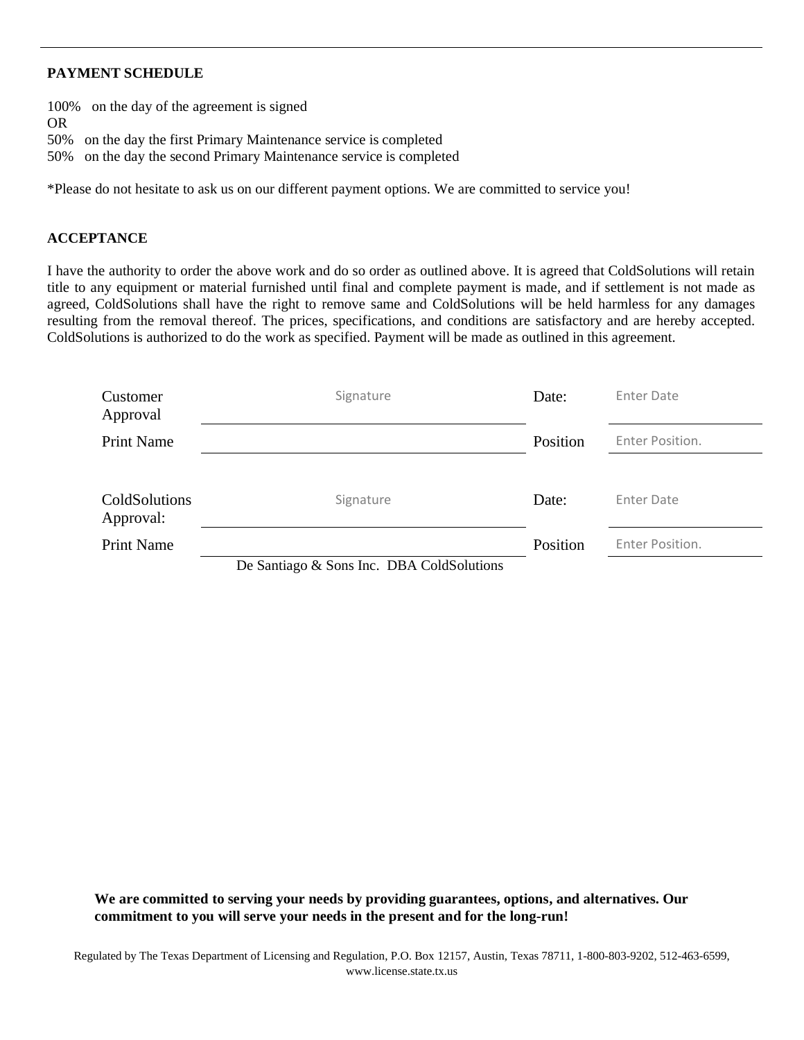### **PAYMENT SCHEDULE**

100% on the day of the agreement is signed OR 50% on the day the first Primary Maintenance service is completed

50% on the day the second Primary Maintenance service is completed

\*Please do not hesitate to ask us on our different payment options. We are committed to service you!

### **ACCEPTANCE**

I have the authority to order the above work and do so order as outlined above. It is agreed that ColdSolutions will retain title to any equipment or material furnished until final and complete payment is made, and if settlement is not made as agreed, ColdSolutions shall have the right to remove same and ColdSolutions will be held harmless for any damages resulting from the removal thereof. The prices, specifications, and conditions are satisfactory and are hereby accepted. ColdSolutions is authorized to do the work as specified. Payment will be made as outlined in this agreement.

| Customer<br>Approval              | Signature                                 | Date:    | Enter Date      |
|-----------------------------------|-------------------------------------------|----------|-----------------|
| <b>Print Name</b>                 |                                           | Position | Enter Position. |
|                                   |                                           |          |                 |
| <b>ColdSolutions</b><br>Approval: | Signature                                 | Date:    | Enter Date      |
| <b>Print Name</b>                 |                                           | Position | Enter Position. |
|                                   | De Santiago & Sons Inc. DRA ColdSolutions |          |                 |

De Santiago & Sons Inc. DBA ColdSolutions

**We are committed to serving your needs by providing guarantees, options, and alternatives. Our commitment to you will serve your needs in the present and for the long-run!**